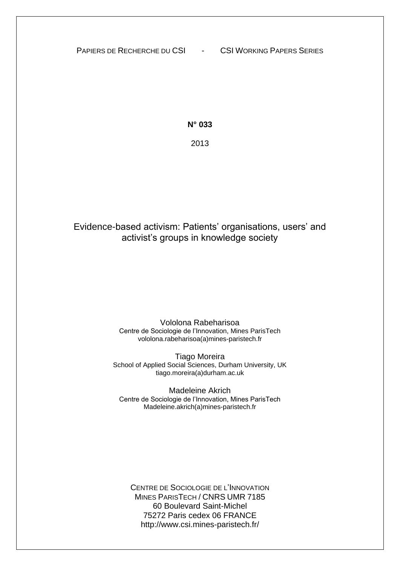PAPIERS DE RECHERCHE DU CSI - CSI WORKING PAPERS SERIES

**N° 033** 2013

Evidence-based activism: Patients' organisations, users' and activist's groups in knowledge society

> Vololona Rabeharisoa Centre de Sociologie de l'Innovation, Mines ParisTech vololona.rabeharisoa(a)mines-paristech.fr

Tiago Moreira School of Applied Social Sciences, Durham University, UK tiago.moreira(a)durham.ac.uk

Madeleine Akrich Centre de Sociologie de l'Innovation, Mines ParisTech Madeleine.akrich(a)mines-paristech.fr

CENTRE DE SOCIOLOGIE DE L'INNOVATION MINES PARISTECH / CNRS UMR 7185 60 Boulevard Saint-Michel 75272 Paris cedex 06 FRANCE http://www.csi.mines-paristech.fr/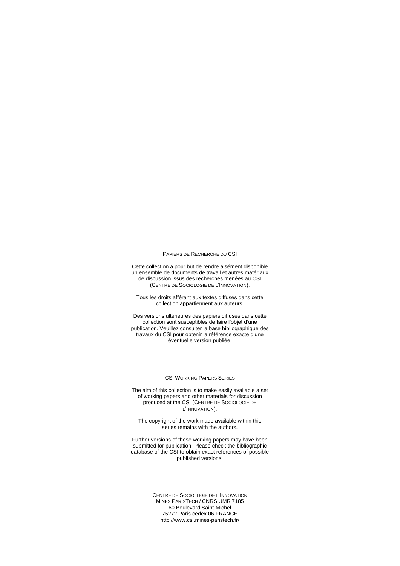#### PAPIERS DE RECHERCHE DU CSI

Cette collection a pour but de rendre aisément disponible un ensemble de documents de travail et autres matériaux de discussion issus des recherches menées au CSI (CENTRE DE SOCIOLOGIE DE L'INNOVATION).

Tous les droits afférant aux textes diffusés dans cette collection appartiennent aux auteurs.

Des versions ultérieures des papiers diffusés dans cette collection sont susceptibles de faire l'objet d'une publication. Veuillez consulter la base bibliographique des travaux du CSI pour obtenir la référence exacte d'une éventuelle version publiée.

#### CSI WORKING PAPERS SERIES

The aim of this collection is to make easily available a set of working papers and other materials for discussion produced at the CSI (CENTRE DE SOCIOLOGIE DE L'INNOVATION).

The copyright of the work made available within this series remains with the authors.

Further versions of these working papers may have been submitted for publication. Please check the bibliographic database of the CSI to obtain exact references of possible published versions.

> CENTRE DE SOCIOLOGIE DE L'INNOVATION MINES PARISTECH / CNRS UMR 7185 60 Boulevard Saint-Michel 75272 Paris cedex 06 FRANCE http://www.csi.mines-paristech.fr/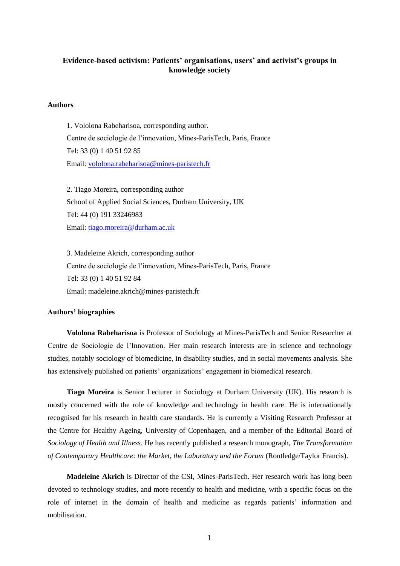# **Evidence-based activism: Patients' organisations, users' and activist's groups in knowledge society**

#### **Authors**

1. Vololona Rabeharisoa, corresponding author. Centre de sociologie de l'innovation, Mines-ParisTech, Paris, France Tel: 33 (0) 1 40 51 92 85 Email: [vololona.rabeharisoa@mines-paristech.fr](mailto:vololona.rabeharisoa@mines-paristech.fr)

2. Tiago Moreira, corresponding author School of Applied Social Sciences, Durham University, UK Tel: 44 (0) 191 33246983 Email: [tiago.moreira@durham.ac.uk](mailto:tiago.moreira@durham.ac.uk)

3. Madeleine Akrich, corresponding author Centre de sociologie de l'innovation, Mines-ParisTech, Paris, France Tel: 33 (0) 1 40 51 92 84 Email: madeleine.akrich@mines-paristech.fr

## **Authors' biographies**

**Vololona Rabeharisoa** is Professor of Sociology at Mines-ParisTech and Senior Researcher at Centre de Sociologie de l'Innovation. Her main research interests are in science and technology studies, notably sociology of biomedicine, in disability studies, and in social movements analysis. She has extensively published on patients' organizations' engagement in biomedical research.

**Tiago Moreira** is Senior Lecturer in Sociology at Durham University (UK). His research is mostly concerned with the role of knowledge and technology in health care. He is internationally recognised for his research in health care standards. He is currently a Visiting Research Professor at the Centre for Healthy Ageing, University of Copenhagen, and a member of the Editorial Board of *Sociology of Health and Illness*. He has recently published a research monograph, *The Transformation of Contemporary Healthcare: the Market, the Laboratory and the Forum* (Routledge/Taylor Francis).

**Madeleine Akrich** is Director of the CSI, Mines-ParisTech. Her research work has long been devoted to technology studies, and more recently to health and medicine, with a specific focus on the role of internet in the domain of health and medicine as regards patients' information and mobilisation.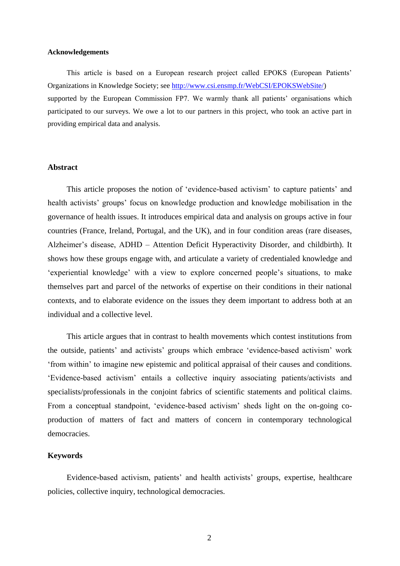## **Acknowledgements**

This article is based on a European research project called EPOKS (European Patients' Organizations in Knowledge Society; see [http://www.csi.ensmp.fr/WebCSI/EPOKSWebSite/\)](http://www.csi.ensmp.fr/WebCSI/EPOKSWebSite/) supported by the European Commission FP7. We warmly thank all patients' organisations which participated to our surveys. We owe a lot to our partners in this project, who took an active part in providing empirical data and analysis.

# **Abstract**

This article proposes the notion of 'evidence-based activism' to capture patients' and health activists' groups' focus on knowledge production and knowledge mobilisation in the governance of health issues. It introduces empirical data and analysis on groups active in four countries (France, Ireland, Portugal, and the UK), and in four condition areas (rare diseases, Alzheimer's disease, ADHD – Attention Deficit Hyperactivity Disorder, and childbirth). It shows how these groups engage with, and articulate a variety of credentialed knowledge and 'experiential knowledge' with a view to explore concerned people's situations, to make themselves part and parcel of the networks of expertise on their conditions in their national contexts, and to elaborate evidence on the issues they deem important to address both at an individual and a collective level.

This article argues that in contrast to health movements which contest institutions from the outside, patients' and activists' groups which embrace 'evidence-based activism' work 'from within' to imagine new epistemic and political appraisal of their causes and conditions. 'Evidence-based activism' entails a collective inquiry associating patients/activists and specialists/professionals in the conjoint fabrics of scientific statements and political claims. From a conceptual standpoint, 'evidence-based activism' sheds light on the on-going coproduction of matters of fact and matters of concern in contemporary technological democracies.

## **Keywords**

Evidence-based activism, patients' and health activists' groups, expertise, healthcare policies, collective inquiry, technological democracies.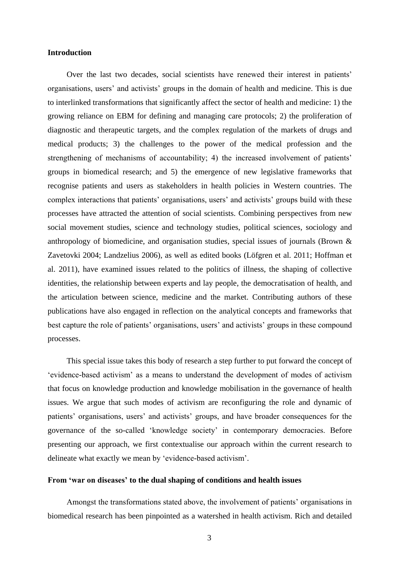## **Introduction**

Over the last two decades, social scientists have renewed their interest in patients' organisations, users' and activists' groups in the domain of health and medicine. This is due to interlinked transformations that significantly affect the sector of health and medicine: 1) the growing reliance on EBM for defining and managing care protocols; 2) the proliferation of diagnostic and therapeutic targets, and the complex regulation of the markets of drugs and medical products; 3) the challenges to the power of the medical profession and the strengthening of mechanisms of accountability; 4) the increased involvement of patients' groups in biomedical research; and 5) the emergence of new legislative frameworks that recognise patients and users as stakeholders in health policies in Western countries. The complex interactions that patients' organisations, users' and activists' groups build with these processes have attracted the attention of social scientists. Combining perspectives from new social movement studies, science and technology studies, political sciences, sociology and anthropology of biomedicine, and organisation studies, special issues of journals (Brown & Zavetovki 2004; Landzelius 2006), as well as edited books (Löfgren et al. 2011; Hoffman et al. 2011), have examined issues related to the politics of illness, the shaping of collective identities, the relationship between experts and lay people, the democratisation of health, and the articulation between science, medicine and the market. Contributing authors of these publications have also engaged in reflection on the analytical concepts and frameworks that best capture the role of patients' organisations, users' and activists' groups in these compound processes.

This special issue takes this body of research a step further to put forward the concept of 'evidence-based activism' as a means to understand the development of modes of activism that focus on knowledge production and knowledge mobilisation in the governance of health issues. We argue that such modes of activism are reconfiguring the role and dynamic of patients' organisations, users' and activists' groups, and have broader consequences for the governance of the so-called 'knowledge society' in contemporary democracies. Before presenting our approach, we first contextualise our approach within the current research to delineate what exactly we mean by 'evidence-based activism'.

### **From 'war on diseases' to the dual shaping of conditions and health issues**

Amongst the transformations stated above, the involvement of patients' organisations in biomedical research has been pinpointed as a watershed in health activism. Rich and detailed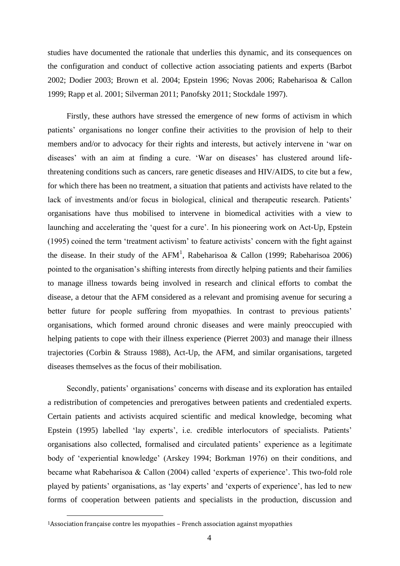studies have documented the rationale that underlies this dynamic, and its consequences on the configuration and conduct of collective action associating patients and experts (Barbot 2002; Dodier 2003; Brown et al. 2004; Epstein 1996; Novas 2006; Rabeharisoa & Callon 1999; Rapp et al. 2001; Silverman 2011; Panofsky 2011; Stockdale 1997).

Firstly, these authors have stressed the emergence of new forms of activism in which patients' organisations no longer confine their activities to the provision of help to their members and/or to advocacy for their rights and interests, but actively intervene in 'war on diseases' with an aim at finding a cure. 'War on diseases' has clustered around lifethreatening conditions such as cancers, rare genetic diseases and HIV/AIDS, to cite but a few, for which there has been no treatment, a situation that patients and activists have related to the lack of investments and/or focus in biological, clinical and therapeutic research. Patients' organisations have thus mobilised to intervene in biomedical activities with a view to launching and accelerating the 'quest for a cure'. In his pioneering work on Act-Up, Epstein (1995) coined the term 'treatment activism' to feature activists' concern with the fight against the disease. In their study of the AFM<sup>1</sup>, Rabeharisoa & Callon (1999; Rabeharisoa 2006) pointed to the organisation's shifting interests from directly helping patients and their families to manage illness towards being involved in research and clinical efforts to combat the disease, a detour that the AFM considered as a relevant and promising avenue for securing a better future for people suffering from myopathies. In contrast to previous patients' organisations, which formed around chronic diseases and were mainly preoccupied with helping patients to cope with their illness experience (Pierret 2003) and manage their illness trajectories (Corbin & Strauss 1988), Act-Up, the AFM, and similar organisations, targeted diseases themselves as the focus of their mobilisation.

Secondly, patients' organisations' concerns with disease and its exploration has entailed a redistribution of competencies and prerogatives between patients and credentialed experts. Certain patients and activists acquired scientific and medical knowledge, becoming what Epstein (1995) labelled 'lay experts', i.e. credible interlocutors of specialists. Patients' organisations also collected, formalised and circulated patients' experience as a legitimate body of 'experiential knowledge' (Arskey 1994; Borkman 1976) on their conditions, and became what Rabeharisoa & Callon (2004) called 'experts of experience'. This two-fold role played by patients' organisations, as 'lay experts' and 'experts of experience', has led to new forms of cooperation between patients and specialists in the production, discussion and

 $\overline{a}$ 

<sup>1</sup>Association française contre les myopathies – French association against myopathies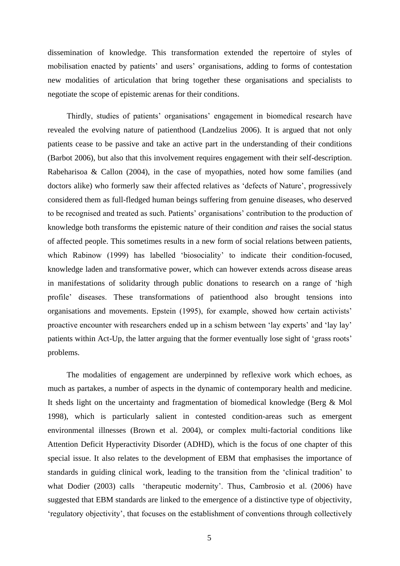dissemination of knowledge. This transformation extended the repertoire of styles of mobilisation enacted by patients' and users' organisations, adding to forms of contestation new modalities of articulation that bring together these organisations and specialists to negotiate the scope of epistemic arenas for their conditions.

Thirdly, studies of patients' organisations' engagement in biomedical research have revealed the evolving nature of patienthood (Landzelius 2006). It is argued that not only patients cease to be passive and take an active part in the understanding of their conditions (Barbot 2006), but also that this involvement requires engagement with their self-description. Rabeharisoa & Callon (2004), in the case of myopathies, noted how some families (and doctors alike) who formerly saw their affected relatives as 'defects of Nature', progressively considered them as full-fledged human beings suffering from genuine diseases, who deserved to be recognised and treated as such. Patients' organisations' contribution to the production of knowledge both transforms the epistemic nature of their condition *and* raises the social status of affected people. This sometimes results in a new form of social relations between patients, which Rabinow (1999) has labelled 'biosociality' to indicate their condition-focused, knowledge laden and transformative power, which can however extends across disease areas in manifestations of solidarity through public donations to research on a range of 'high profile' diseases. These transformations of patienthood also brought tensions into organisations and movements. Epstein (1995), for example, showed how certain activists' proactive encounter with researchers ended up in a schism between 'lay experts' and 'lay lay' patients within Act-Up, the latter arguing that the former eventually lose sight of 'grass roots' problems.

The modalities of engagement are underpinned by reflexive work which echoes, as much as partakes, a number of aspects in the dynamic of contemporary health and medicine. It sheds light on the uncertainty and fragmentation of biomedical knowledge (Berg & Mol 1998), which is particularly salient in contested condition-areas such as emergent environmental illnesses (Brown et al. 2004), or complex multi-factorial conditions like Attention Deficit Hyperactivity Disorder (ADHD), which is the focus of one chapter of this special issue. It also relates to the development of EBM that emphasises the importance of standards in guiding clinical work, leading to the transition from the 'clinical tradition' to what Dodier (2003) calls 'therapeutic modernity'. Thus, Cambrosio et al. (2006) have suggested that EBM standards are linked to the emergence of a distinctive type of objectivity, 'regulatory objectivity', that focuses on the establishment of conventions through collectively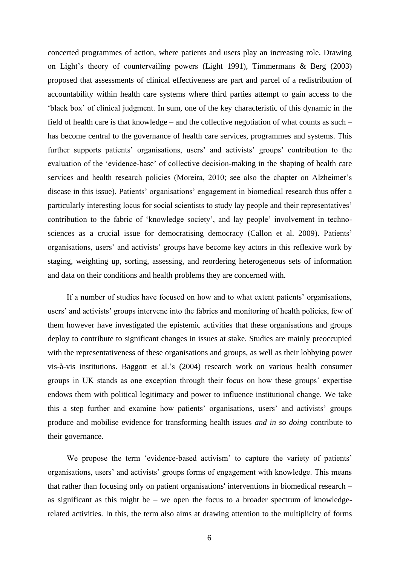concerted programmes of action, where patients and users play an increasing role. Drawing on Light's theory of countervailing powers (Light 1991), Timmermans & Berg (2003) proposed that assessments of clinical effectiveness are part and parcel of a redistribution of accountability within health care systems where third parties attempt to gain access to the 'black box' of clinical judgment. In sum, one of the key characteristic of this dynamic in the field of health care is that knowledge – and the collective negotiation of what counts as such – has become central to the governance of health care services, programmes and systems. This further supports patients' organisations, users' and activists' groups' contribution to the evaluation of the 'evidence-base' of collective decision-making in the shaping of health care services and health research policies (Moreira, 2010; see also the chapter on Alzheimer's disease in this issue). Patients' organisations' engagement in biomedical research thus offer a particularly interesting locus for social scientists to study lay people and their representatives' contribution to the fabric of 'knowledge society', and lay people' involvement in technosciences as a crucial issue for democratising democracy (Callon et al. 2009). Patients' organisations, users' and activists' groups have become key actors in this reflexive work by staging, weighting up, sorting, assessing, and reordering heterogeneous sets of information and data on their conditions and health problems they are concerned with.

If a number of studies have focused on how and to what extent patients' organisations, users' and activists' groups intervene into the fabrics and monitoring of health policies, few of them however have investigated the epistemic activities that these organisations and groups deploy to contribute to significant changes in issues at stake. Studies are mainly preoccupied with the representativeness of these organisations and groups, as well as their lobbying power vis-à-vis institutions. Baggott et al.'s (2004) research work on various health consumer groups in UK stands as one exception through their focus on how these groups' expertise endows them with political legitimacy and power to influence institutional change. We take this a step further and examine how patients' organisations, users' and activists' groups produce and mobilise evidence for transforming health issues *and in so doing* contribute to their governance.

We propose the term 'evidence-based activism' to capture the variety of patients' organisations, users' and activists' groups forms of engagement with knowledge. This means that rather than focusing only on patient organisations' interventions in biomedical research – as significant as this might be – we open the focus to a broader spectrum of knowledgerelated activities. In this, the term also aims at drawing attention to the multiplicity of forms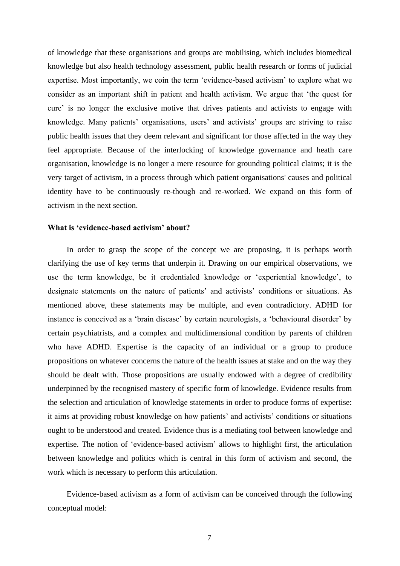of knowledge that these organisations and groups are mobilising, which includes biomedical knowledge but also health technology assessment, public health research or forms of judicial expertise. Most importantly, we coin the term 'evidence-based activism' to explore what we consider as an important shift in patient and health activism. We argue that 'the quest for cure' is no longer the exclusive motive that drives patients and activists to engage with knowledge. Many patients' organisations, users' and activists' groups are striving to raise public health issues that they deem relevant and significant for those affected in the way they feel appropriate. Because of the interlocking of knowledge governance and heath care organisation, knowledge is no longer a mere resource for grounding political claims; it is the very target of activism, in a process through which patient organisations' causes and political identity have to be continuously re-though and re-worked. We expand on this form of activism in the next section.

## **What is 'evidence-based activism' about?**

In order to grasp the scope of the concept we are proposing, it is perhaps worth clarifying the use of key terms that underpin it. Drawing on our empirical observations, we use the term knowledge, be it credentialed knowledge or 'experiential knowledge', to designate statements on the nature of patients' and activists' conditions or situations. As mentioned above, these statements may be multiple, and even contradictory. ADHD for instance is conceived as a 'brain disease' by certain neurologists, a 'behavioural disorder' by certain psychiatrists, and a complex and multidimensional condition by parents of children who have ADHD. Expertise is the capacity of an individual or a group to produce propositions on whatever concerns the nature of the health issues at stake and on the way they should be dealt with. Those propositions are usually endowed with a degree of credibility underpinned by the recognised mastery of specific form of knowledge. Evidence results from the selection and articulation of knowledge statements in order to produce forms of expertise: it aims at providing robust knowledge on how patients' and activists' conditions or situations ought to be understood and treated. Evidence thus is a mediating tool between knowledge and expertise. The notion of 'evidence-based activism' allows to highlight first, the articulation between knowledge and politics which is central in this form of activism and second, the work which is necessary to perform this articulation.

Evidence-based activism as a form of activism can be conceived through the following conceptual model: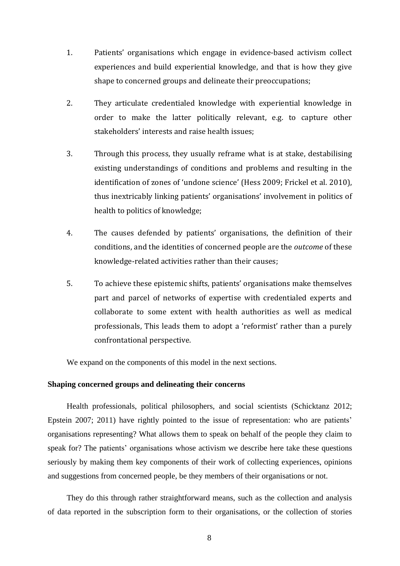- 1. Patients' organisations which engage in evidence-based activism collect experiences and build experiential knowledge, and that is how they give shape to concerned groups and delineate their preoccupations;
- 2. They articulate credentialed knowledge with experiential knowledge in order to make the latter politically relevant, e.g. to capture other stakeholders' interests and raise health issues;
- 3. Through this process, they usually reframe what is at stake, destabilising existing understandings of conditions and problems and resulting in the identification of zones of 'undone science' (Hess 2009; Frickel et al. 2010), thus inextricably linking patients' organisations' involvement in politics of health to politics of knowledge;
- 4. The causes defended by patients' organisations, the definition of their conditions, and the identities of concerned people are the *outcome* of these knowledge-related activities rather than their causes;
- 5. To achieve these epistemic shifts, patients' organisations make themselves part and parcel of networks of expertise with credentialed experts and collaborate to some extent with health authorities as well as medical professionals, This leads them to adopt a 'reformist' rather than a purely confrontational perspective.

We expand on the components of this model in the next sections.

#### **Shaping concerned groups and delineating their concerns**

Health professionals, political philosophers, and social scientists (Schicktanz 2012; Epstein 2007; 2011) have rightly pointed to the issue of representation: who are patients' organisations representing? What allows them to speak on behalf of the people they claim to speak for? The patients' organisations whose activism we describe here take these questions seriously by making them key components of their work of collecting experiences, opinions and suggestions from concerned people, be they members of their organisations or not.

They do this through rather straightforward means, such as the collection and analysis of data reported in the subscription form to their organisations, or the collection of stories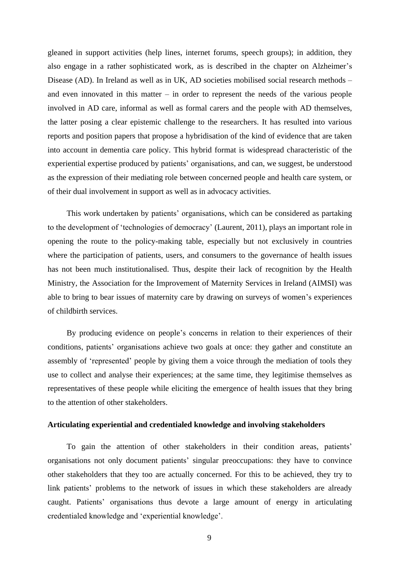gleaned in support activities (help lines, internet forums, speech groups); in addition, they also engage in a rather sophisticated work, as is described in the chapter on Alzheimer's Disease (AD). In Ireland as well as in UK, AD societies mobilised social research methods – and even innovated in this matter – in order to represent the needs of the various people involved in AD care, informal as well as formal carers and the people with AD themselves, the latter posing a clear epistemic challenge to the researchers. It has resulted into various reports and position papers that propose a hybridisation of the kind of evidence that are taken into account in dementia care policy. This hybrid format is widespread characteristic of the experiential expertise produced by patients' organisations, and can, we suggest, be understood as the expression of their mediating role between concerned people and health care system, or of their dual involvement in support as well as in advocacy activities.

This work undertaken by patients' organisations, which can be considered as partaking to the development of 'technologies of democracy' (Laurent, 2011), plays an important role in opening the route to the policy-making table, especially but not exclusively in countries where the participation of patients, users, and consumers to the governance of health issues has not been much institutionalised. Thus, despite their lack of recognition by the Health Ministry, the Association for the Improvement of Maternity Services in Ireland (AIMSI) was able to bring to bear issues of maternity care by drawing on surveys of women's experiences of childbirth services.

By producing evidence on people's concerns in relation to their experiences of their conditions, patients' organisations achieve two goals at once: they gather and constitute an assembly of 'represented' people by giving them a voice through the mediation of tools they use to collect and analyse their experiences; at the same time, they legitimise themselves as representatives of these people while eliciting the emergence of health issues that they bring to the attention of other stakeholders.

#### **Articulating experiential and credentialed knowledge and involving stakeholders**

To gain the attention of other stakeholders in their condition areas, patients' organisations not only document patients' singular preoccupations: they have to convince other stakeholders that they too are actually concerned. For this to be achieved, they try to link patients' problems to the network of issues in which these stakeholders are already caught. Patients' organisations thus devote a large amount of energy in articulating credentialed knowledge and 'experiential knowledge'.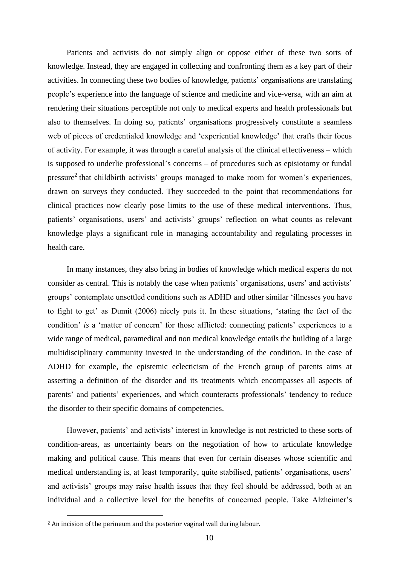Patients and activists do not simply align or oppose either of these two sorts of knowledge. Instead, they are engaged in collecting and confronting them as a key part of their activities. In connecting these two bodies of knowledge, patients' organisations are translating people's experience into the language of science and medicine and vice-versa, with an aim at rendering their situations perceptible not only to medical experts and health professionals but also to themselves. In doing so, patients' organisations progressively constitute a seamless web of pieces of credentialed knowledge and 'experiential knowledge' that crafts their focus of activity. For example, it was through a careful analysis of the clinical effectiveness – which is supposed to underlie professional's concerns – of procedures such as episiotomy or fundal pressure<sup>2</sup> that childbirth activists' groups managed to make room for women's experiences, drawn on surveys they conducted. They succeeded to the point that recommendations for clinical practices now clearly pose limits to the use of these medical interventions. Thus, patients' organisations, users' and activists' groups' reflection on what counts as relevant knowledge plays a significant role in managing accountability and regulating processes in health care.

In many instances, they also bring in bodies of knowledge which medical experts do not consider as central. This is notably the case when patients' organisations, users' and activists' groups' contemplate unsettled conditions such as ADHD and other similar 'illnesses you have to fight to get' as Dumit (2006) nicely puts it. In these situations, 'stating the fact of the condition' *is* a 'matter of concern' for those afflicted: connecting patients' experiences to a wide range of medical, paramedical and non medical knowledge entails the building of a large multidisciplinary community invested in the understanding of the condition. In the case of ADHD for example, the epistemic eclecticism of the French group of parents aims at asserting a definition of the disorder and its treatments which encompasses all aspects of parents' and patients' experiences, and which counteracts professionals' tendency to reduce the disorder to their specific domains of competencies.

However, patients' and activists' interest in knowledge is not restricted to these sorts of condition-areas, as uncertainty bears on the negotiation of how to articulate knowledge making and political cause. This means that even for certain diseases whose scientific and medical understanding is, at least temporarily, quite stabilised, patients' organisations, users' and activists' groups may raise health issues that they feel should be addressed, both at an individual and a collective level for the benefits of concerned people. Take Alzheimer's

 $\overline{a}$ 

<sup>&</sup>lt;sup>2</sup> An incision of the perineum and the posterior vaginal wall during labour.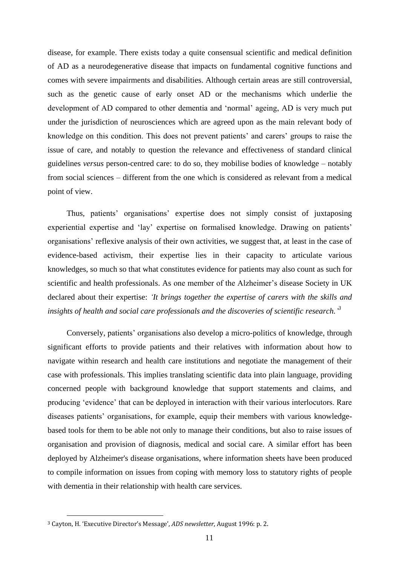disease, for example. There exists today a quite consensual scientific and medical definition of AD as a neurodegenerative disease that impacts on fundamental cognitive functions and comes with severe impairments and disabilities. Although certain areas are still controversial, such as the genetic cause of early onset AD or the mechanisms which underlie the development of AD compared to other dementia and 'normal' ageing, AD is very much put under the jurisdiction of neurosciences which are agreed upon as the main relevant body of knowledge on this condition. This does not prevent patients' and carers' groups to raise the issue of care, and notably to question the relevance and effectiveness of standard clinical guidelines *versus* person-centred care: to do so, they mobilise bodies of knowledge – notably from social sciences – different from the one which is considered as relevant from a medical point of view.

Thus, patients' organisations' expertise does not simply consist of juxtaposing experiential expertise and 'lay' expertise on formalised knowledge. Drawing on patients' organisations' reflexive analysis of their own activities, we suggest that, at least in the case of evidence-based activism, their expertise lies in their capacity to articulate various knowledges, so much so that what constitutes evidence for patients may also count as such for scientific and health professionals. As one member of the Alzheimer's disease Society in UK declared about their expertise: *'It brings together the expertise of carers with the skills and insights of health and social care professionals and the discoveries of scientific research.' 3*

Conversely, patients' organisations also develop a micro-politics of knowledge, through significant efforts to provide patients and their relatives with information about how to navigate within research and health care institutions and negotiate the management of their case with professionals. This implies translating scientific data into plain language, providing concerned people with background knowledge that support statements and claims, and producing 'evidence' that can be deployed in interaction with their various interlocutors. Rare diseases patients' organisations, for example, equip their members with various knowledgebased tools for them to be able not only to manage their conditions, but also to raise issues of organisation and provision of diagnosis, medical and social care. A similar effort has been deployed by Alzheimer's disease organisations, where information sheets have been produced to compile information on issues from coping with memory loss to statutory rights of people with dementia in their relationship with health care services.

 $\overline{a}$ 

<sup>3</sup> Cayton, H. 'Executive Director's Message', *ADS newsletter*, August 1996: p. 2.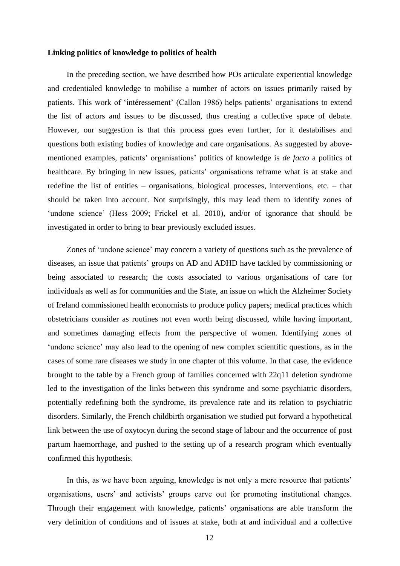## **Linking politics of knowledge to politics of health**

In the preceding section, we have described how POs articulate experiential knowledge and credentialed knowledge to mobilise a number of actors on issues primarily raised by patients. This work of 'intéressement' (Callon 1986) helps patients' organisations to extend the list of actors and issues to be discussed, thus creating a collective space of debate. However, our suggestion is that this process goes even further, for it destabilises and questions both existing bodies of knowledge and care organisations. As suggested by abovementioned examples, patients' organisations' politics of knowledge is *de facto* a politics of healthcare. By bringing in new issues, patients' organisations reframe what is at stake and redefine the list of entities – organisations, biological processes, interventions, etc. – that should be taken into account. Not surprisingly, this may lead them to identify zones of 'undone science' (Hess 2009; Frickel et al. 2010), and/or of ignorance that should be investigated in order to bring to bear previously excluded issues.

Zones of 'undone science' may concern a variety of questions such as the prevalence of diseases, an issue that patients' groups on AD and ADHD have tackled by commissioning or being associated to research; the costs associated to various organisations of care for individuals as well as for communities and the State, an issue on which the Alzheimer Society of Ireland commissioned health economists to produce policy papers; medical practices which obstetricians consider as routines not even worth being discussed, while having important, and sometimes damaging effects from the perspective of women. Identifying zones of 'undone science' may also lead to the opening of new complex scientific questions, as in the cases of some rare diseases we study in one chapter of this volume. In that case, the evidence brought to the table by a French group of families concerned with 22q11 deletion syndrome led to the investigation of the links between this syndrome and some psychiatric disorders, potentially redefining both the syndrome, its prevalence rate and its relation to psychiatric disorders. Similarly, the French childbirth organisation we studied put forward a hypothetical link between the use of oxytocyn during the second stage of labour and the occurrence of post partum haemorrhage, and pushed to the setting up of a research program which eventually confirmed this hypothesis.

In this, as we have been arguing, knowledge is not only a mere resource that patients' organisations, users' and activists' groups carve out for promoting institutional changes. Through their engagement with knowledge, patients' organisations are able transform the very definition of conditions and of issues at stake, both at and individual and a collective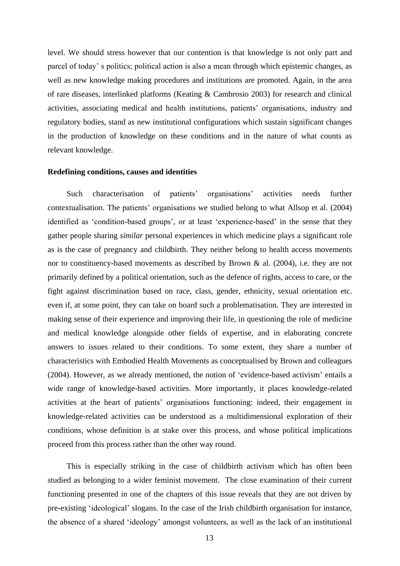level. We should stress however that our contention is that knowledge is not only part and parcel of today' s politics; political action is also a mean through which epistemic changes, as well as new knowledge making procedures and institutions are promoted. Again, in the area of rare diseases, interlinked platforms (Keating & Cambrosio 2003) for research and clinical activities, associating medical and health institutions, patients' organisations, industry and regulatory bodies, stand as new institutional configurations which sustain significant changes in the production of knowledge on these conditions and in the nature of what counts as relevant knowledge.

#### **Redefining conditions, causes and identities**

Such characterisation of patients' organisations' activities needs further contextualisation. The patients' organisations we studied belong to what Allsop et al. (2004) identified as 'condition-based groups', or at least 'experience-based' in the sense that they gather people sharing *similar* personal experiences in which medicine plays a significant role as is the case of pregnancy and childbirth. They neither belong to health access movements nor to constituency-based movements as described by Brown & al. (2004), i.e. they are not primarily defined by a political orientation, such as the defence of rights, access to care, or the fight against discrimination based on race, class, gender, ethnicity, sexual orientation etc. even if, at some point, they can take on board such a problematisation. They are interested in making sense of their experience and improving their life, in questioning the role of medicine and medical knowledge alongside other fields of expertise, and in elaborating concrete answers to issues related to their conditions. To some extent, they share a number of characteristics with Embodied Health Movements as conceptualised by Brown and colleagues (2004). However, as we already mentioned, the notion of 'evidence-based activism' entails a wide range of knowledge-based activities. More importantly, it places knowledge-related activities at the heart of patients' organisations functioning: indeed, their engagement in knowledge-related activities can be understood as a multidimensional exploration of their conditions, whose definition is at stake over this process, and whose political implications proceed from this process rather than the other way round.

This is especially striking in the case of childbirth activism which has often been studied as belonging to a wider feminist movement. The close examination of their current functioning presented in one of the chapters of this issue reveals that they are not driven by pre-existing 'ideological' slogans. In the case of the Irish childbirth organisation for instance, the absence of a shared 'ideology' amongst volunteers, as well as the lack of an institutional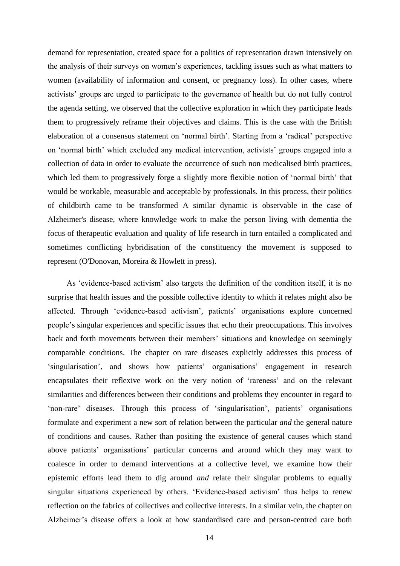demand for representation, created space for a politics of representation drawn intensively on the analysis of their surveys on women's experiences, tackling issues such as what matters to women (availability of information and consent, or pregnancy loss). In other cases, where activists' groups are urged to participate to the governance of health but do not fully control the agenda setting, we observed that the collective exploration in which they participate leads them to progressively reframe their objectives and claims. This is the case with the British elaboration of a consensus statement on 'normal birth'. Starting from a 'radical' perspective on 'normal birth' which excluded any medical intervention, activists' groups engaged into a collection of data in order to evaluate the occurrence of such non medicalised birth practices, which led them to progressively forge a slightly more flexible notion of 'normal birth' that would be workable, measurable and acceptable by professionals. In this process, their politics of childbirth came to be transformed A similar dynamic is observable in the case of Alzheimer's disease, where knowledge work to make the person living with dementia the focus of therapeutic evaluation and quality of life research in turn entailed a complicated and sometimes conflicting hybridisation of the constituency the movement is supposed to represent (O'Donovan, Moreira & Howlett in press).

As 'evidence-based activism' also targets the definition of the condition itself, it is no surprise that health issues and the possible collective identity to which it relates might also be affected. Through 'evidence-based activism', patients' organisations explore concerned people's singular experiences and specific issues that echo their preoccupations. This involves back and forth movements between their members' situations and knowledge on seemingly comparable conditions. The chapter on rare diseases explicitly addresses this process of 'singularisation', and shows how patients' organisations' engagement in research encapsulates their reflexive work on the very notion of 'rareness' and on the relevant similarities and differences between their conditions and problems they encounter in regard to 'non-rare' diseases. Through this process of 'singularisation', patients' organisations formulate and experiment a new sort of relation between the particular *and* the general nature of conditions and causes. Rather than positing the existence of general causes which stand above patients' organisations' particular concerns and around which they may want to coalesce in order to demand interventions at a collective level, we examine how their epistemic efforts lead them to dig around *and* relate their singular problems to equally singular situations experienced by others. 'Evidence-based activism' thus helps to renew reflection on the fabrics of collectives and collective interests. In a similar vein, the chapter on Alzheimer's disease offers a look at how standardised care and person-centred care both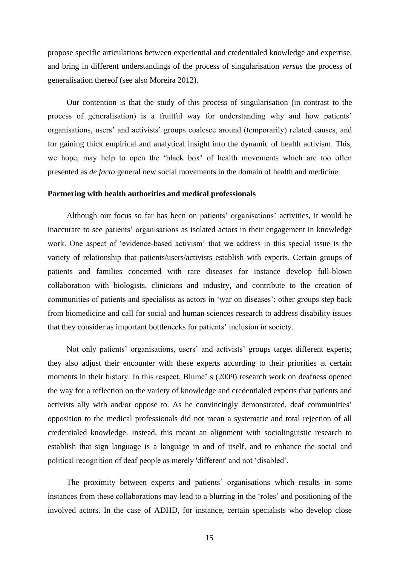propose specific articulations between experiential and credentialed knowledge and expertise, and bring in different understandings of the process of singularisation *versus* the process of generalisation thereof (see also Moreira 2012).

Our contention is that the study of this process of singularisation (in contrast to the process of generalisation) is a fruitful way for understanding why and how patients' organisations, users' and activists' groups coalesce around (temporarily) related causes, and for gaining thick empirical and analytical insight into the dynamic of health activism. This, we hope, may help to open the 'black box' of health movements which are too often presented as *de facto* general new social movements in the domain of health and medicine.

#### **Partnering with health authorities and medical professionals**

Although our focus so far has been on patients' organisations' activities, it would be inaccurate to see patients' organisations as isolated actors in their engagement in knowledge work. One aspect of 'evidence-based activism' that we address in this special issue is the variety of relationship that patients/users/activists establish with experts. Certain groups of patients and families concerned with rare diseases for instance develop full-blown collaboration with biologists, clinicians and industry, and contribute to the creation of communities of patients and specialists as actors in 'war on diseases'; other groups step back from biomedicine and call for social and human sciences research to address disability issues that they consider as important bottlenecks for patients' inclusion in society.

Not only patients' organisations, users' and activists' groups target different experts; they also adjust their encounter with these experts according to their priorities at certain moments in their history. In this respect, Blume' s (2009) research work on deafness opened the way for a reflection on the variety of knowledge and credentialed experts that patients and activists ally with and/or oppose to. As he convincingly demonstrated, deaf communities' opposition to the medical professionals did not mean a systematic and total rejection of all credentialed knowledge. Instead, this meant an alignment with sociolinguistic research to establish that sign language is a language in and of itself, and to enhance the social and political recognition of deaf people as merely 'different' and not 'disabled'.

The proximity between experts and patients' organisations which results in some instances from these collaborations may lead to a blurring in the 'roles' and positioning of the involved actors. In the case of ADHD, for instance, certain specialists who develop close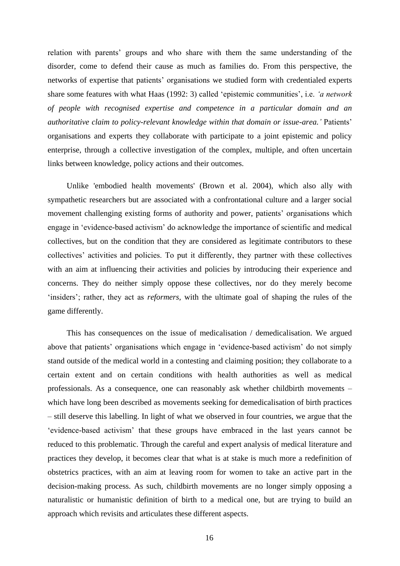relation with parents' groups and who share with them the same understanding of the disorder, come to defend their cause as much as families do. From this perspective, the networks of expertise that patients' organisations we studied form with credentialed experts share some features with what Haas (1992: 3) called 'epistemic communities', i.e. *'a network of people with recognised expertise and competence in a particular domain and an authoritative claim to policy-relevant knowledge within that domain or issue-area.'* Patients' organisations and experts they collaborate with participate to a joint epistemic and policy enterprise, through a collective investigation of the complex, multiple, and often uncertain links between knowledge, policy actions and their outcomes.

Unlike 'embodied health movements' (Brown et al. 2004), which also ally with sympathetic researchers but are associated with a confrontational culture and a larger social movement challenging existing forms of authority and power, patients' organisations which engage in 'evidence-based activism' do acknowledge the importance of scientific and medical collectives, but on the condition that they are considered as legitimate contributors to these collectives' activities and policies. To put it differently, they partner with these collectives with an aim at influencing their activities and policies by introducing their experience and concerns. They do neither simply oppose these collectives, nor do they merely become 'insiders'; rather, they act as *reformers,* with the ultimate goal of shaping the rules of the game differently.

This has consequences on the issue of medicalisation / demedicalisation. We argued above that patients' organisations which engage in 'evidence-based activism' do not simply stand outside of the medical world in a contesting and claiming position; they collaborate to a certain extent and on certain conditions with health authorities as well as medical professionals. As a consequence, one can reasonably ask whether childbirth movements – which have long been described as movements seeking for demedicalisation of birth practices – still deserve this labelling. In light of what we observed in four countries, we argue that the 'evidence-based activism' that these groups have embraced in the last years cannot be reduced to this problematic. Through the careful and expert analysis of medical literature and practices they develop, it becomes clear that what is at stake is much more a redefinition of obstetrics practices, with an aim at leaving room for women to take an active part in the decision-making process. As such, childbirth movements are no longer simply opposing a naturalistic or humanistic definition of birth to a medical one, but are trying to build an approach which revisits and articulates these different aspects.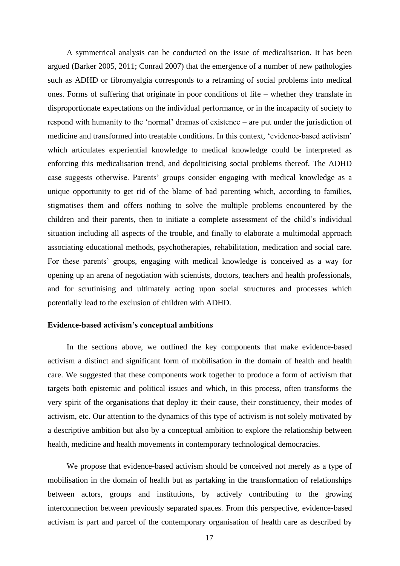A symmetrical analysis can be conducted on the issue of medicalisation. It has been argued (Barker 2005, 2011; Conrad 2007) that the emergence of a number of new pathologies such as ADHD or fibromyalgia corresponds to a reframing of social problems into medical ones. Forms of suffering that originate in poor conditions of life – whether they translate in disproportionate expectations on the individual performance, or in the incapacity of society to respond with humanity to the 'normal' dramas of existence – are put under the jurisdiction of medicine and transformed into treatable conditions. In this context, 'evidence-based activism' which articulates experiential knowledge to medical knowledge could be interpreted as enforcing this medicalisation trend, and depoliticising social problems thereof. The ADHD case suggests otherwise. Parents' groups consider engaging with medical knowledge as a unique opportunity to get rid of the blame of bad parenting which, according to families, stigmatises them and offers nothing to solve the multiple problems encountered by the children and their parents, then to initiate a complete assessment of the child's individual situation including all aspects of the trouble, and finally to elaborate a multimodal approach associating educational methods, psychotherapies, rehabilitation, medication and social care. For these parents' groups, engaging with medical knowledge is conceived as a way for opening up an arena of negotiation with scientists, doctors, teachers and health professionals, and for scrutinising and ultimately acting upon social structures and processes which potentially lead to the exclusion of children with ADHD.

## **Evidence-based activism's conceptual ambitions**

In the sections above, we outlined the key components that make evidence-based activism a distinct and significant form of mobilisation in the domain of health and health care. We suggested that these components work together to produce a form of activism that targets both epistemic and political issues and which, in this process, often transforms the very spirit of the organisations that deploy it: their cause, their constituency, their modes of activism, etc. Our attention to the dynamics of this type of activism is not solely motivated by a descriptive ambition but also by a conceptual ambition to explore the relationship between health, medicine and health movements in contemporary technological democracies.

We propose that evidence-based activism should be conceived not merely as a type of mobilisation in the domain of health but as partaking in the transformation of relationships between actors, groups and institutions, by actively contributing to the growing interconnection between previously separated spaces. From this perspective, evidence-based activism is part and parcel of the contemporary organisation of health care as described by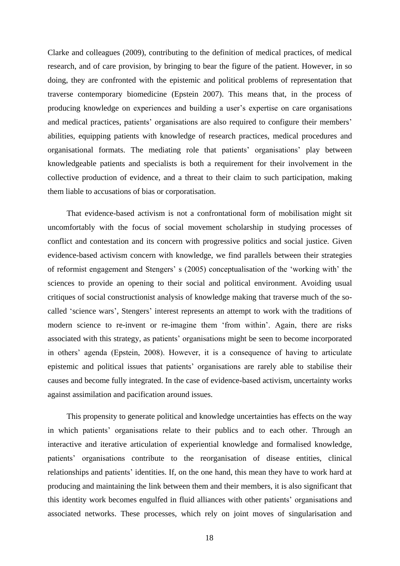Clarke and colleagues (2009), contributing to the definition of medical practices, of medical research, and of care provision, by bringing to bear the figure of the patient. However, in so doing, they are confronted with the epistemic and political problems of representation that traverse contemporary biomedicine (Epstein 2007). This means that, in the process of producing knowledge on experiences and building a user's expertise on care organisations and medical practices, patients' organisations are also required to configure their members' abilities, equipping patients with knowledge of research practices, medical procedures and organisational formats. The mediating role that patients' organisations' play between knowledgeable patients and specialists is both a requirement for their involvement in the collective production of evidence, and a threat to their claim to such participation, making them liable to accusations of bias or corporatisation.

That evidence-based activism is not a confrontational form of mobilisation might sit uncomfortably with the focus of social movement scholarship in studying processes of conflict and contestation and its concern with progressive politics and social justice. Given evidence-based activism concern with knowledge, we find parallels between their strategies of reformist engagement and Stengers' s (2005) conceptualisation of the 'working with' the sciences to provide an opening to their social and political environment. Avoiding usual critiques of social constructionist analysis of knowledge making that traverse much of the socalled 'science wars', Stengers' interest represents an attempt to work with the traditions of modern science to re-invent or re-imagine them 'from within'. Again, there are risks associated with this strategy, as patients' organisations might be seen to become incorporated in others' agenda (Epstein, 2008). However, it is a consequence of having to articulate epistemic and political issues that patients' organisations are rarely able to stabilise their causes and become fully integrated. In the case of evidence-based activism, uncertainty works against assimilation and pacification around issues.

This propensity to generate political and knowledge uncertainties has effects on the way in which patients' organisations relate to their publics and to each other. Through an interactive and iterative articulation of experiential knowledge and formalised knowledge, patients' organisations contribute to the reorganisation of disease entities, clinical relationships and patients' identities. If, on the one hand, this mean they have to work hard at producing and maintaining the link between them and their members, it is also significant that this identity work becomes engulfed in fluid alliances with other patients' organisations and associated networks. These processes, which rely on joint moves of singularisation and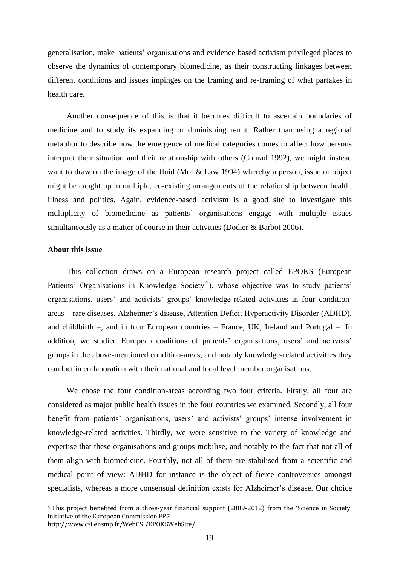generalisation, make patients' organisations and evidence based activism privileged places to observe the dynamics of contemporary biomedicine, as their constructing linkages between different conditions and issues impinges on the framing and re-framing of what partakes in health care.

Another consequence of this is that it becomes difficult to ascertain boundaries of medicine and to study its expanding or diminishing remit. Rather than using a regional metaphor to describe how the emergence of medical categories comes to affect how persons interpret their situation and their relationship with others (Conrad 1992), we might instead want to draw on the image of the fluid (Mol & Law 1994) whereby a person, issue or object might be caught up in multiple, co-existing arrangements of the relationship between health, illness and politics. Again, evidence-based activism is a good site to investigate this multiplicity of biomedicine as patients' organisations engage with multiple issues simultaneously as a matter of course in their activities (Dodier & Barbot 2006).

## **About this issue**

 $\overline{a}$ 

This collection draws on a European research project called EPOKS (European Patients' Organisations in Knowledge Society<sup>4</sup>), whose objective was to study patients' organisations, users' and activists' groups' knowledge-related activities in four conditionareas – rare diseases, Alzheimer's disease, Attention Deficit Hyperactivity Disorder (ADHD), and childbirth –, and in four European countries – France, UK, Ireland and Portugal –. In addition, we studied European coalitions of patients' organisations, users' and activists' groups in the above-mentioned condition-areas, and notably knowledge-related activities they conduct in collaboration with their national and local level member organisations.

We chose the four condition-areas according two four criteria. Firstly, all four are considered as major public health issues in the four countries we examined. Secondly, all four benefit from patients' organisations, users' and activists' groups' intense involvement in knowledge-related activities. Thirdly, we were sensitive to the variety of knowledge and expertise that these organisations and groups mobilise, and notably to the fact that not all of them align with biomedicine. Fourthly, not all of them are stabilised from a scientific and medical point of view: ADHD for instance is the object of fierce controversies amongst specialists, whereas a more consensual definition exists for Alzheimer's disease. Our choice

<sup>4</sup> This project benefited from a three-year financial support (2009-2012) from the 'Science in Society' initiative of the European Commission FP7. http://www.csi.ensmp.fr/WebCSI/EPOKSWebSite/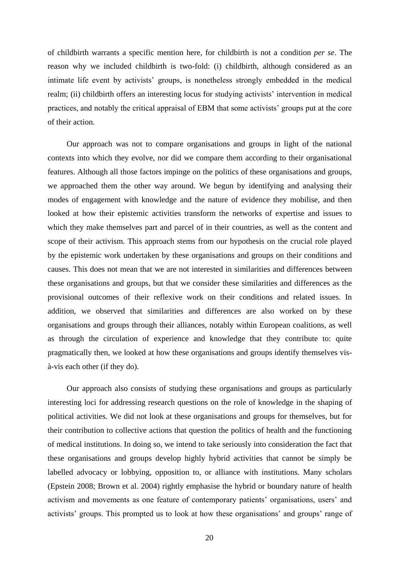of childbirth warrants a specific mention here, for childbirth is not a condition *per se*. The reason why we included childbirth is two-fold: (i) childbirth, although considered as an intimate life event by activists' groups, is nonetheless strongly embedded in the medical realm; (ii) childbirth offers an interesting locus for studying activists' intervention in medical practices, and notably the critical appraisal of EBM that some activists' groups put at the core of their action.

Our approach was not to compare organisations and groups in light of the national contexts into which they evolve, nor did we compare them according to their organisational features. Although all those factors impinge on the politics of these organisations and groups, we approached them the other way around. We begun by identifying and analysing their modes of engagement with knowledge and the nature of evidence they mobilise, and then looked at how their epistemic activities transform the networks of expertise and issues to which they make themselves part and parcel of in their countries, as well as the content and scope of their activism. This approach stems from our hypothesis on the crucial role played by the epistemic work undertaken by these organisations and groups on their conditions and causes. This does not mean that we are not interested in similarities and differences between these organisations and groups, but that we consider these similarities and differences as the provisional outcomes of their reflexive work on their conditions and related issues. In addition, we observed that similarities and differences are also worked on by these organisations and groups through their alliances, notably within European coalitions, as well as through the circulation of experience and knowledge that they contribute to: quite pragmatically then, we looked at how these organisations and groups identify themselves visà-vis each other (if they do).

Our approach also consists of studying these organisations and groups as particularly interesting loci for addressing research questions on the role of knowledge in the shaping of political activities. We did not look at these organisations and groups for themselves, but for their contribution to collective actions that question the politics of health and the functioning of medical institutions. In doing so, we intend to take seriously into consideration the fact that these organisations and groups develop highly hybrid activities that cannot be simply be labelled advocacy or lobbying, opposition to, or alliance with institutions. Many scholars (Epstein 2008; Brown et al. 2004) rightly emphasise the hybrid or boundary nature of health activism and movements as one feature of contemporary patients' organisations, users' and activists' groups. This prompted us to look at how these organisations' and groups' range of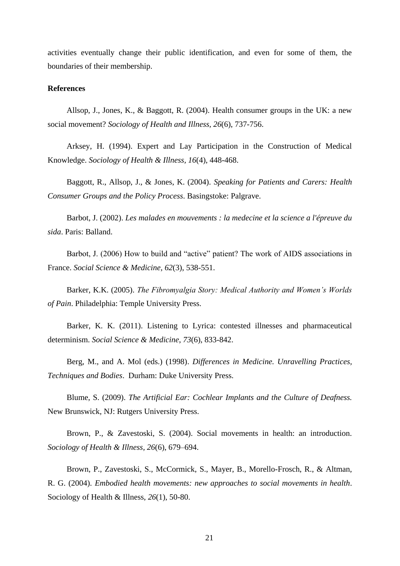activities eventually change their public identification, and even for some of them, the boundaries of their membership.

#### **References**

Allsop, J., Jones, K., & Baggott, R. (2004). Health consumer groups in the UK: a new social movement? *Sociology of Health and Illness, 26*(6), 737-756.

Arksey, H. (1994). Expert and Lay Participation in the Construction of Medical Knowledge. *Sociology of Health & Illness, 16*(4), 448-468.

Baggott, R., Allsop, J., & Jones, K. (2004). *Speaking for Patients and Carers: Health Consumer Groups and the Policy Process*. Basingstoke: Palgrave.

Barbot, J. (2002). *Les malades en mouvements : la medecine et la science a l'épreuve du sida*. Paris: Balland.

Barbot, J. (2006) How to build and "active" patient? The work of AIDS associations in France. *Social Science & Medicine, 62*(3), 538-551.

Barker, K.K. (2005). *The Fibromyalgia Story: Medical Authority and Women's Worlds of Pain*. Philadelphia: Temple University Press.

Barker, K. K. (2011). Listening to Lyrica: contested illnesses and pharmaceutical determinism. *Social Science & Medicine*, *73*(6), 833-842.

Berg, M., and A. Mol (eds.) (1998). *Differences in Medicine. Unravelling Practices, Techniques and Bodies*. Durham: Duke University Press.

Blume, S. (2009). *The Artificial Ear: Cochlear Implants and the Culture of Deafness.* New Brunswick, NJ: Rutgers University Press.

Brown, P., & Zavestoski, S. (2004). Social movements in health: an introduction. *Sociology of Health & Illness, 26*(6), 679–694.

Brown, P., Zavestoski, S., McCormick, S., Mayer, B., Morello-Frosch, R., & Altman, R. G. (2004). *Embodied health movements: new approaches to social movements in health*. Sociology of Health & Illness, *26*(1), 50-80.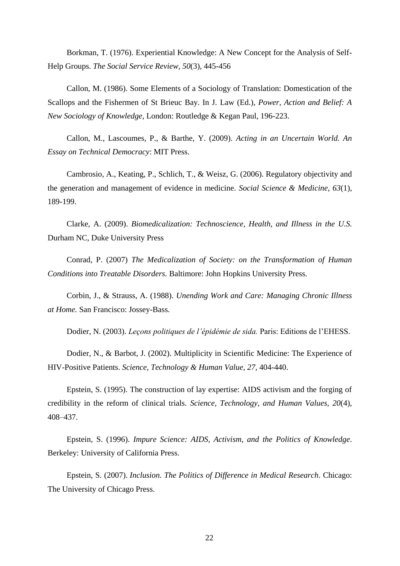Borkman, T. (1976). Experiential Knowledge: A New Concept for the Analysis of Self-Help Groups. *The Social Service Review, 50*(3), 445-456

Callon, M. (1986). Some Elements of a Sociology of Translation: Domestication of the Scallops and the Fishermen of St Brieuc Bay. In J. Law (Ed.), *Power, Action and Belief: A New Sociology of Knowledge*, London: Routledge & Kegan Paul, 196-223.

Callon, M., Lascoumes, P., & Barthe, Y. (2009). *Acting in an Uncertain World. An Essay on Technical Democracy*: MIT Press.

Cambrosio, A., Keating, P., Schlich, T., & Weisz, G. (2006). Regulatory objectivity and the generation and management of evidence in medicine. *Social Science & Medicine*, *63*(1), 189-199.

Clarke, A. (2009). *Biomedicalization: Technoscience, Health, and Illness in the U.S.* Durham NC, Duke University Press

Conrad, P. (2007) *The Medicalization of Society: on the Transformation of Human Conditions into Treatable Disorders.* Baltimore: John Hopkins University Press.

Corbin, J., & Strauss, A. (1988). *Unending Work and Care: Managing Chronic Illness at Home.* San Francisco: Jossey-Bass.

Dodier, N. (2003). *Leçons politiques de l'épidémie de sida.* Paris: Editions de l'EHESS.

Dodier, N., & Barbot, J. (2002). Multiplicity in Scientific Medicine: The Experience of HIV-Positive Patients. *Science, Technology & Human Value, 27*, 404-440.

Epstein, S. (1995). The construction of lay expertise: AIDS activism and the forging of credibility in the reform of clinical trials. *Science, Technology, and Human Values, 20*(4), 408–437.

Epstein, S. (1996). *Impure Science: AIDS, Activism, and the Politics of Knowledge*. Berkeley: University of California Press.

Epstein, S. (2007). *Inclusion. The Politics of Difference in Medical Research*. Chicago: The University of Chicago Press.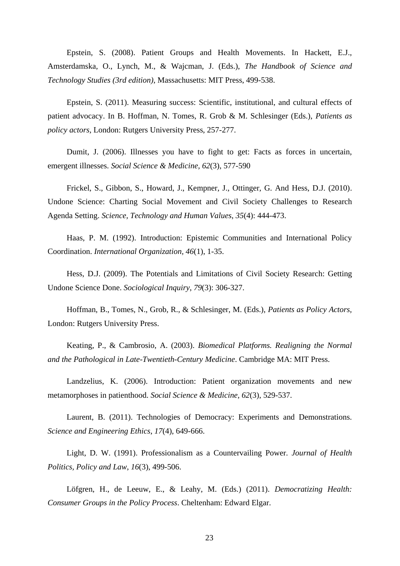Epstein, S. (2008). Patient Groups and Health Movements. In Hackett, E.J., Amsterdamska, O., Lynch, M., & Wajcman, J. (Eds.), *The Handbook of Science and Technology Studies (3rd edition)*, Massachusetts: MIT Press, 499-538.

Epstein, S. (2011). Measuring success: Scientific, institutional, and cultural effects of patient advocacy. In B. Hoffman, N. Tomes, R. Grob & M. Schlesinger (Eds.), *Patients as policy actors,* London: Rutgers University Press, 257-277.

Dumit, J. (2006). Illnesses you have to fight to get: Facts as forces in uncertain, emergent illnesses. *Social Science & Medicine, 62*(3), 577-590

Frickel, S., Gibbon, S., Howard, J., Kempner, J., Ottinger, G. And Hess, D.J. (2010). Undone Science: Charting Social Movement and Civil Society Challenges to Research Agenda Setting. *Science, Technology and Human Values*, *35*(4): 444-473.

Haas, P. M. (1992). Introduction: Epistemic Communities and International Policy Coordination. *International Organization, 46*(1), 1-35.

Hess, D.J. (2009). The Potentials and Limitations of Civil Society Research: Getting Undone Science Done. *Sociological Inquiry*, *79*(3): 306-327.

Hoffman, B., Tomes, N., Grob, R., & Schlesinger, M. (Eds.), *Patients as Policy Actors,* London: Rutgers University Press.

Keating, P., & Cambrosio, A. (2003). *Biomedical Platforms. Realigning the Normal and the Pathological in Late-Twentieth-Century Medicine*. Cambridge MA: MIT Press.

Landzelius, K. (2006). Introduction: Patient organization movements and new metamorphoses in patienthood. *Social Science & Medicine, 62*(3), 529-537.

Laurent, B. (2011). Technologies of Democracy: Experiments and Demonstrations. *Science and Engineering Ethics*, *17*(4), 649-666.

Light, D. W. (1991). Professionalism as a Countervailing Power. *Journal of Health Politics, Policy and Law*, *16*(3), 499-506.

Löfgren, H., de Leeuw, E., & Leahy, M. (Eds.) (2011). *Democratizing Health: Consumer Groups in the Policy Process*. Cheltenham: Edward Elgar.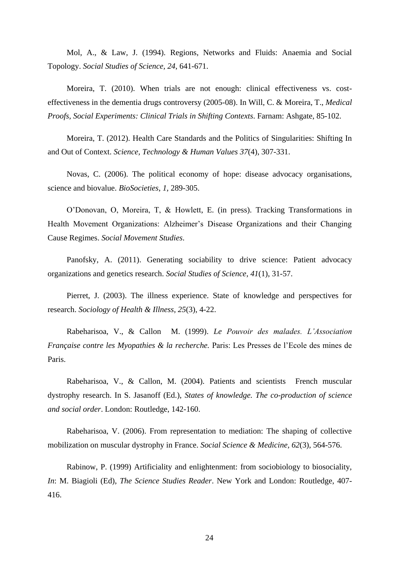Mol, A., & Law, J. (1994). Regions, Networks and Fluids: Anaemia and Social Topology. *Social Studies of Science, 24*, 641-671.

Moreira, T. (2010). When trials are not enough: clinical effectiveness vs. costeffectiveness in the dementia drugs controversy (2005-08). In Will, C. & Moreira, T., *Medical Proofs, Social Experiments: Clinical Trials in Shifting Contexts*. Farnam: Ashgate, 85-102.

Moreira, T. (2012). Health Care Standards and the Politics of Singularities: Shifting In and Out of Context. *Science, Technology & Human Values 37*(4), 307-331.

Novas, C. (2006). The political economy of hope: disease advocacy organisations, science and biovalue. *BioSocieties*, *1*, 289-305.

O'Donovan, O, Moreira, T, & Howlett, E. (in press). Tracking Transformations in Health Movement Organizations: Alzheimer's Disease Organizations and their Changing Cause Regimes. *Social Movement Studies*.

Panofsky, A. (2011). Generating sociability to drive science: Patient advocacy organizations and genetics research. *Social Studies of Science*, *41*(1), 31-57.

Pierret, J. (2003). The illness experience. State of knowledge and perspectives for research. *Sociology of Health & Illness*, *25*(3), 4-22.

Rabeharisoa, V., & Callon M. (1999). *Le Pouvoir des malades. L'Association Française contre les Myopathies & la recherche.* Paris: Les Presses de l'Ecole des mines de Paris.

Rabeharisoa, V., & Callon, M. (2004). Patients and scientists French muscular dystrophy research. In S. Jasanoff (Ed.), *States of knowledge. The co-production of science and social order*. London: Routledge, 142-160.

Rabeharisoa, V. (2006). From representation to mediation: The shaping of collective mobilization on muscular dystrophy in France. *Social Science & Medicine, 62*(3), 564-576.

Rabinow, P. (1999) Artificiality and enlightenment: from sociobiology to biosociality, *In*: M. Biagioli (Ed), *The Science Studies Reader*. New York and London: Routledge, 407- 416.